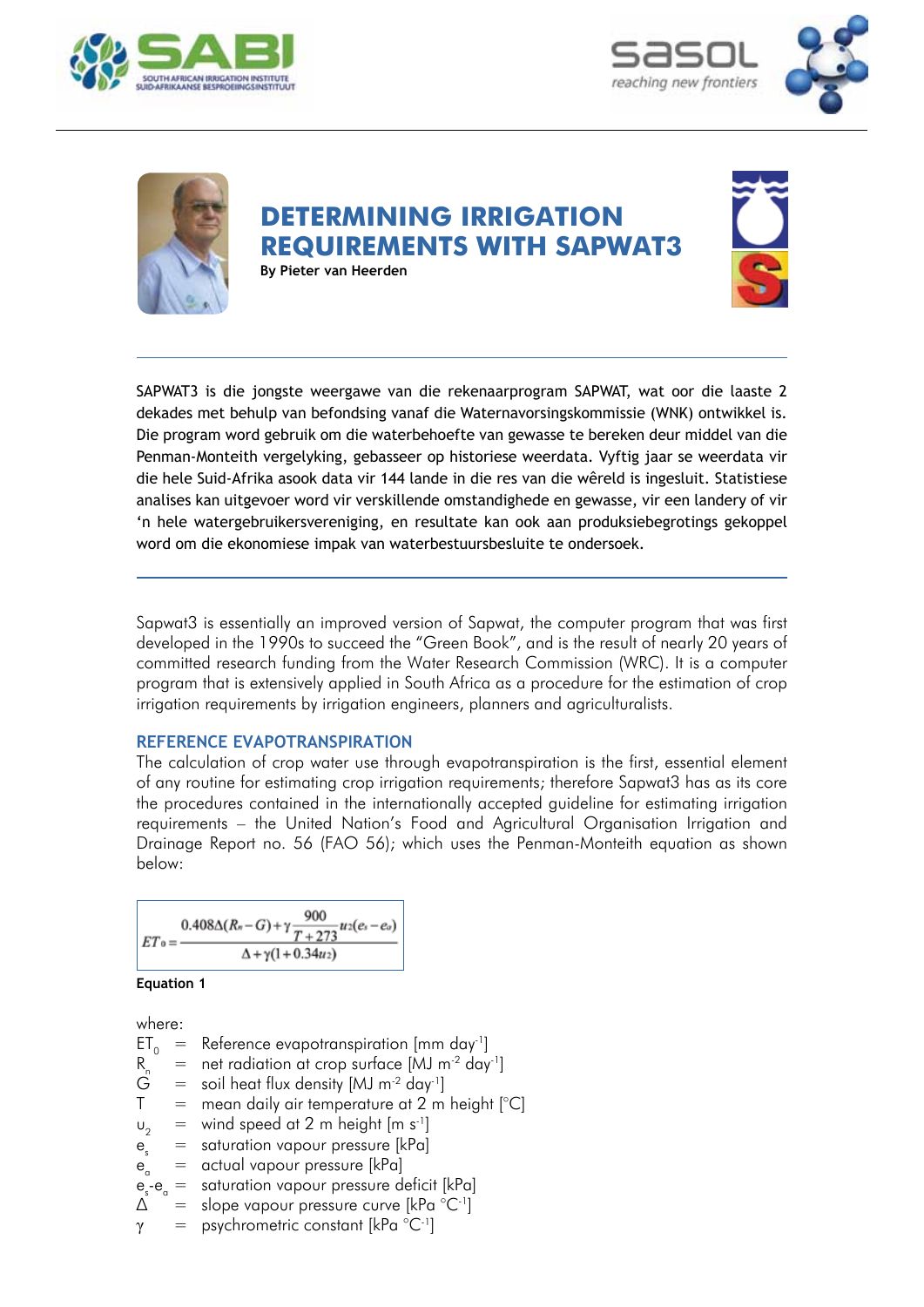





# **DETERMINING IRRIGATION REQUIREMENTS WITH SAPWAT3 By Pieter van Heerden**

SAPWAT3 is die jongste weergawe van die rekenaarprogram SAPWAT, wat oor die laaste 2 dekades met behulp van befondsing vanaf die Waternavorsingskommissie (WNK) ontwikkel is. Die program word gebruik om die waterbehoefte van gewasse te bereken deur middel van die Penman-Monteith vergelyking, gebasseer op historiese weerdata. Vyftig jaar se weerdata vir die hele Suid-Afrika asook data vir 144 lande in die res van die wêreld is ingesluit. Statistiese analises kan uitgevoer word vir verskillende omstandighede en gewasse, vir een landery of vir 'n hele watergebruikersvereniging, en resultate kan ook aan produksiebegrotings gekoppel word om die ekonomiese impak van waterbestuursbesluite te ondersoek.

Sapwat3 is essentially an improved version of Sapwat, the computer program that was first developed in the 1990s to succeed the "Green Book", and is the result of nearly 20 years of committed research funding from the Water Research Commission (WRC). It is a computer program that is extensively applied in South Africa as a procedure for the estimation of crop irrigation requirements by irrigation engineers, planners and agriculturalists.

# **Reference evapotranspiration**

The calculation of crop water use through evapotranspiration is the first, essential element of any routine for estimating crop irrigation requirements; therefore Sapwat3 has as its core the procedures contained in the internationally accepted guideline for estimating irrigation requirements – the United Nation's Food and Agricultural Organisation Irrigation and Drainage Report no. 56 (FAO 56); which uses the Penman-Monteith equation as shown below:

$$
ET_0 = \frac{0.408\Delta(R_n - G) + \gamma \frac{900}{T + 273}u_2(e_s - e_o)}{\Delta + \gamma(1 + 0.34u_2)}
$$



where:

ET<sub>0</sub> = Reference evapotranspiration [mm day<sup>-1</sup>]<br>R<sub>n</sub> = net radiation at crop surface [MJ m<sup>-2</sup> day<br> $G$  = soil heat flux density [MJ m<sup>-2</sup> day<sup>-1</sup>] = net radiation at crop surface  $[MJ m^{-2} day^{-1}]$ <br>= soil heat flux density  $[MJ m^{-2} day^{-1}]$ soil heat flux density  $[MJ \, m^{-2} \, \text{day}^{-1}]$  $T =$  mean daily air temperature at 2 m height  $[°C]$  $u_2$  = wind speed at 2 m height  $[m s^{-1}]$ <br> $e$  = saturation vapour pressure [kPa]  $e_s$  = saturation vapour pressure [kPa]  $e_{a}$  = actual vapour pressure [kPa]  $e - e_{\alpha} =$ saturation vapour pressure deficit [kPa]  $\Delta$  = slope vapour pressure curve [kPa  $^{\circ}$ C<sup>-1</sup>]

 $γ = psychrometric constant [kPa °C<sup>-1</sup>]$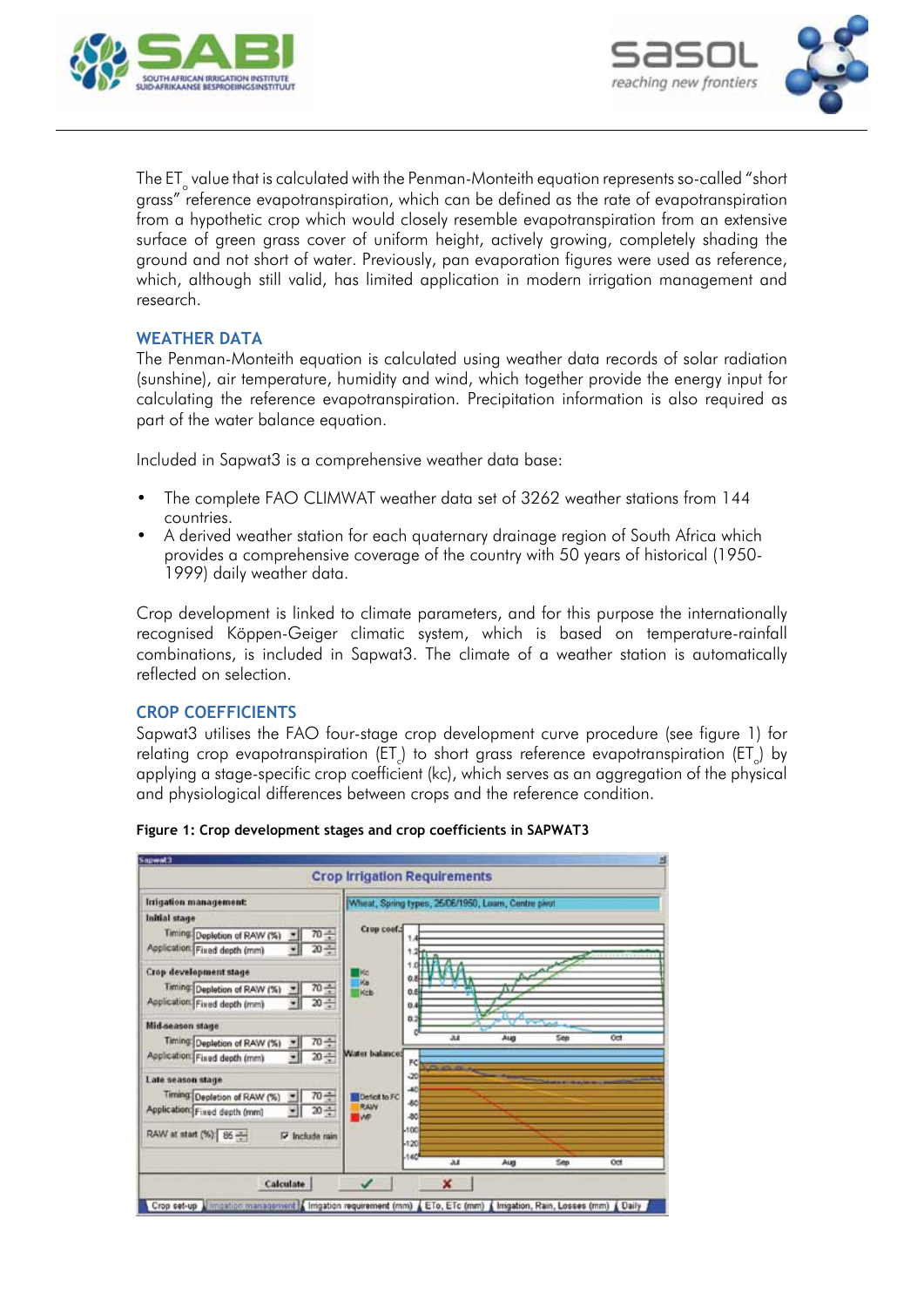



The ET $_{\circ}$  value that is calculated with the Penman-Monteith equation represents so-called "short grass" reference evapotranspiration, which can be defined as the rate of evapotranspiration from a hypothetic crop which would closely resemble evapotranspiration from an extensive surface of green grass cover of uniform height, actively growing, completely shading the ground and not short of water. Previously, pan evaporation figures were used as reference, which, although still valid, has limited application in modern irrigation management and research.

# **WEATHER DATA**

The Penman-Monteith equation is calculated using weather data records of solar radiation (sunshine), air temperature, humidity and wind, which together provide the energy input for calculating the reference evapotranspiration. Precipitation information is also required as part of the water balance equation.

Included in Sapwat3 is a comprehensive weather data base:

- The complete FAO CLIMWAT weather data set of 3262 weather stations from 144 countries.
- A derived weather station for each auaternary drainage region of South Africa which provides a comprehensive coverage of the country with 50 years of historical (1950- 1999) daily weather data.

Crop development is linked to climate parameters, and for this purpose the internationally recognised Köppen-Geiger climatic system, which is based on temperature-rainfall combinations, is included in Sapwat3. The climate of a weather station is automatically reflected on selection.

## **Crop coefficients**

Sapwat3 utilises the FAO four-stage crop development curve procedure (see figure 1) for relating crop evapotranspiration (ET $_{\rm c}$ ) to short grass reference evapotranspiration (ET $_{\rm c}$ ) by applying a stage-specific crop coefficient (kc), which serves as an aggregation of the physical and physiological differences between crops and the reference condition.



#### **Figure 1: Crop development stages and crop coefficients in SAPWAT3**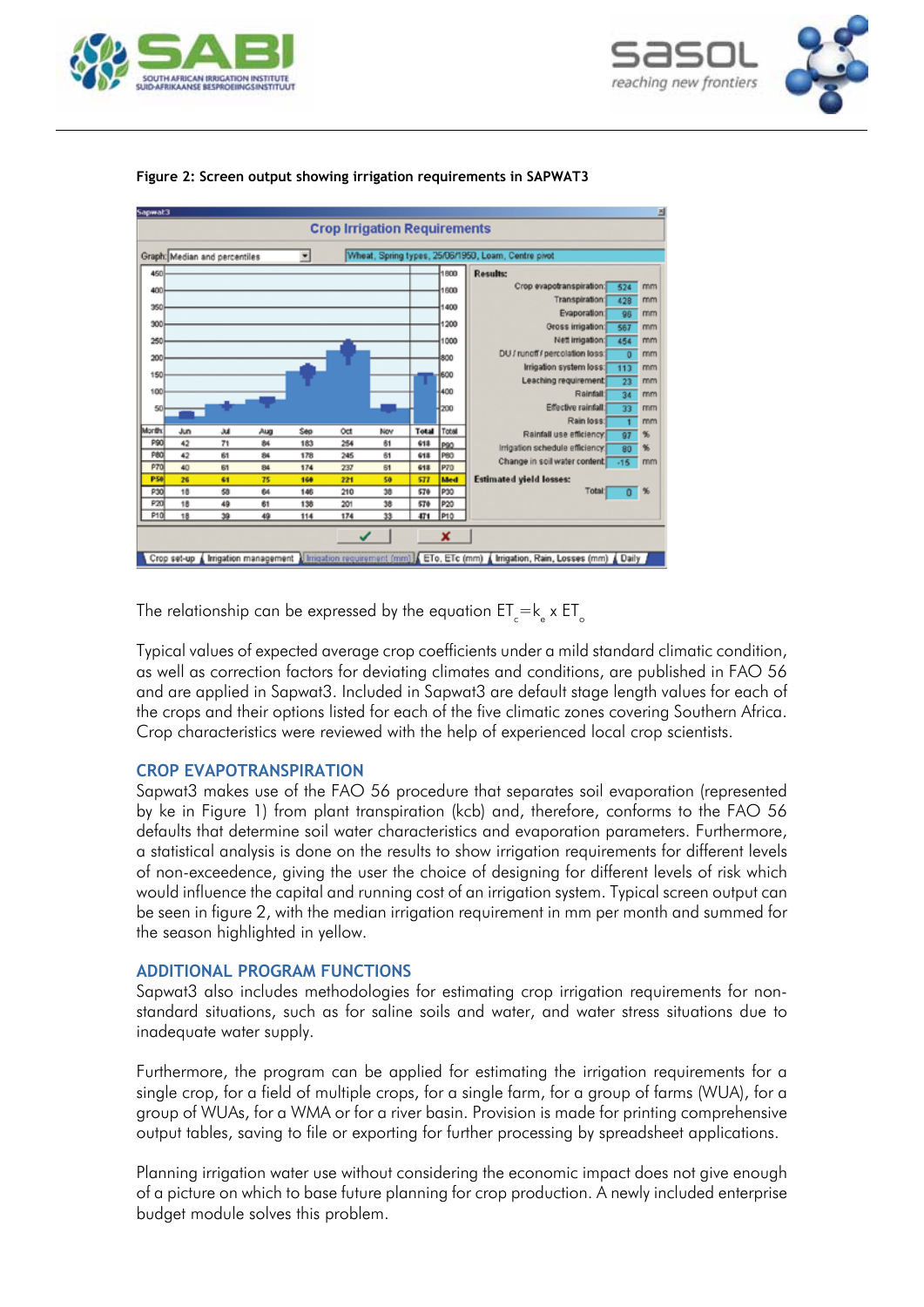





#### **Figure 2: Screen output showing irrigation requirements in SAPWAT3**

The relationship can be expressed by the equation  $\mathsf{ET}_{\mathrm{c}}\mathsf{=k}_{\mathrm{e}}$  x  $\mathsf{ET}_{\mathrm{o}}$ 

Typical values of expected average crop coefficients under a mild standard climatic condition, as well as correction factors for deviating climates and conditions, are published in FAO 56 and are applied in Sapwat3. Included in Sapwat3 are default stage length values for each of the crops and their options listed for each of the five climatic zones covering Southern Africa. Crop characteristics were reviewed with the help of experienced local crop scientists.

## **Crop evapotranspiration**

Sapwat3 makes use of the FAO 56 procedure that separates soil evaporation (represented by ke in Figure 1) from plant transpiration (kcb) and, therefore, conforms to the FAO 56 defaults that determine soil water characteristics and evaporation parameters. Furthermore, a statistical analysis is done on the results to show irrigation requirements for different levels of non-exceedence, giving the user the choice of designing for different levels of risk which would influence the capital and running cost of an irrigation system. Typical screen output can be seen in figure 2, with the median irrigation requirement in mm per month and summed for the season highlighted in yellow.

# **Additional program functions**

Sapwat3 also includes methodologies for estimating crop irrigation requirements for nonstandard situations, such as for saline soils and water, and water stress situations due to inadequate water supply.

Furthermore, the program can be applied for estimating the irrigation requirements for a single crop, for a field of multiple crops, for a single farm, for a group of farms (WUA), for a group of WUAs, for a WMA or for a river basin. Provision is made for printing comprehensive output tables, saving to file or exporting for further processing by spreadsheet applications.

Planning irrigation water use without considering the economic impact does not give enough of a picture on which to base future planning for crop production. A newly included enterprise budget module solves this problem.